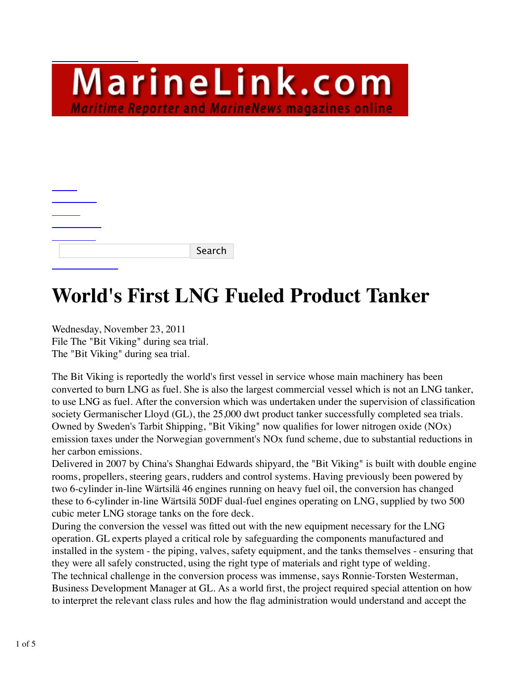MarineLink.com **Maritime Reporter and MarineNews magazines online** 

|  |  | Search |
|--|--|--------|

## **World's First LNG Fueled Product Tanker**

Wednesday, November 23, 2011 File The "Bit Viking" during sea trial. The "Bit Viking" during sea trial.

The Bit Viking is reportedly the world's first vessel in service whose main machinery has been converted to burn LNG as fuel. She is also the largest commercial vessel which is not an LNG tanker, to use LNG as fuel. After the conversion which was undertaken under the supervision of classification society Germanischer Lloyd (GL), the 25,000 dwt product tanker successfully completed sea trials. Owned by Sweden's Tarbit Shipping, "Bit Viking" now qualifies for lower nitrogen oxide (NOx) emission taxes under the Norwegian government's NOx fund scheme, due to substantial reductions in her carbon emissions.

Delivered in 2007 by China's Shanghai Edwards shipyard, the "Bit Viking" is built with double engine rooms, propellers, steering gears, rudders and control systems. Having previously been powered by two 6-cylinder in-line Wärtsilä 46 engines running on heavy fuel oil, the conversion has changed these to 6-cylinder in-line Wärtsilä 50DF dual-fuel engines operating on LNG, supplied by two 500 cubic meter LNG storage tanks on the fore deck.

During the conversion the vessel was fitted out with the new equipment necessary for the LNG operation. GL experts played a critical role by safeguarding the components manufactured and installed in the system - the piping, valves, safety equipment, and the tanks themselves - ensuring that they were all safely constructed, using the right type of materials and right type of welding. The technical challenge in the conversion process was immense, says Ronnie-Torsten Westerman, Business Development Manager at GL. As a world first, the project required special attention on how to interpret the relevant class rules and how the flag administration would understand and accept the